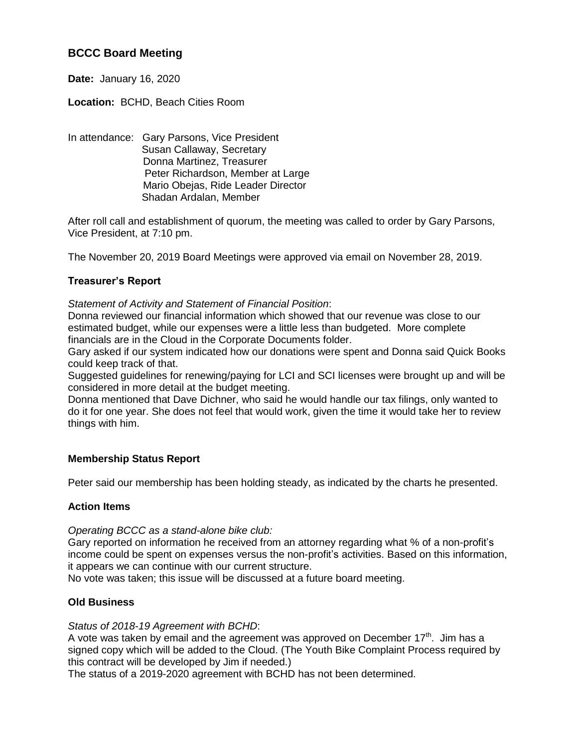# **BCCC Board Meeting**

**Date:** January 16, 2020

## **Location:** BCHD, Beach Cities Room

In attendance: Gary Parsons, Vice President Susan Callaway, Secretary Donna Martinez, Treasurer Peter Richardson, Member at Large Mario Obejas, Ride Leader Director Shadan Ardalan, Member

After roll call and establishment of quorum, the meeting was called to order by Gary Parsons, Vice President, at 7:10 pm.

The November 20, 2019 Board Meetings were approved via email on November 28, 2019.

## **Treasurer's Report**

*Statement of Activity and Statement of Financial Position*:

Donna reviewed our financial information which showed that our revenue was close to our estimated budget, while our expenses were a little less than budgeted. More complete financials are in the Cloud in the Corporate Documents folder.

Gary asked if our system indicated how our donations were spent and Donna said Quick Books could keep track of that.

Suggested guidelines for renewing/paying for LCI and SCI licenses were brought up and will be considered in more detail at the budget meeting.

Donna mentioned that Dave Dichner, who said he would handle our tax filings, only wanted to do it for one year. She does not feel that would work, given the time it would take her to review things with him.

## **Membership Status Report**

Peter said our membership has been holding steady, as indicated by the charts he presented.

### **Action Items**

*Operating BCCC as a stand-alone bike club:*

Gary reported on information he received from an attorney regarding what % of a non-profit's income could be spent on expenses versus the non-profit's activities. Based on this information, it appears we can continue with our current structure.

No vote was taken; this issue will be discussed at a future board meeting.

## **Old Business**

### *Status of 2018-19 Agreement with BCHD*:

A vote was taken by email and the agreement was approved on December  $17<sup>th</sup>$ . Jim has a signed copy which will be added to the Cloud. (The Youth Bike Complaint Process required by this contract will be developed by Jim if needed.)

The status of a 2019-2020 agreement with BCHD has not been determined.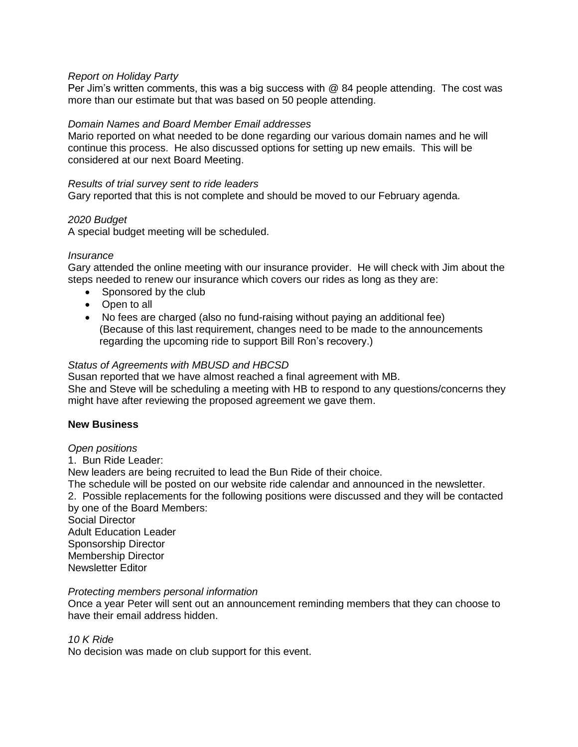### *Report on Holiday Party*

Per Jim's written comments, this was a big success with @ 84 people attending. The cost was more than our estimate but that was based on 50 people attending.

### *Domain Names and Board Member Email addresses*

Mario reported on what needed to be done regarding our various domain names and he will continue this process. He also discussed options for setting up new emails. This will be considered at our next Board Meeting.

### *Results of trial survey sent to ride leaders*

Gary reported that this is not complete and should be moved to our February agenda.

### *2020 Budget*

A special budget meeting will be scheduled.

### *Insurance*

Gary attended the online meeting with our insurance provider. He will check with Jim about the steps needed to renew our insurance which covers our rides as long as they are:

- Sponsored by the club
- Open to all
- No fees are charged (also no fund-raising without paying an additional fee) (Because of this last requirement, changes need to be made to the announcements regarding the upcoming ride to support Bill Ron's recovery.)

### *Status of Agreements with MBUSD and HBCSD*

Susan reported that we have almost reached a final agreement with MB.

She and Steve will be scheduling a meeting with HB to respond to any questions/concerns they might have after reviewing the proposed agreement we gave them.

#### **New Business**

#### *Open positions*

1. Bun Ride Leader:

New leaders are being recruited to lead the Bun Ride of their choice.

The schedule will be posted on our website ride calendar and announced in the newsletter.

2. Possible replacements for the following positions were discussed and they will be contacted by one of the Board Members: Social Director

Adult Education Leader Sponsorship Director Membership Director Newsletter Editor

### *Protecting members personal information*

Once a year Peter will sent out an announcement reminding members that they can choose to have their email address hidden.

### *10 K Ride*

No decision was made on club support for this event.